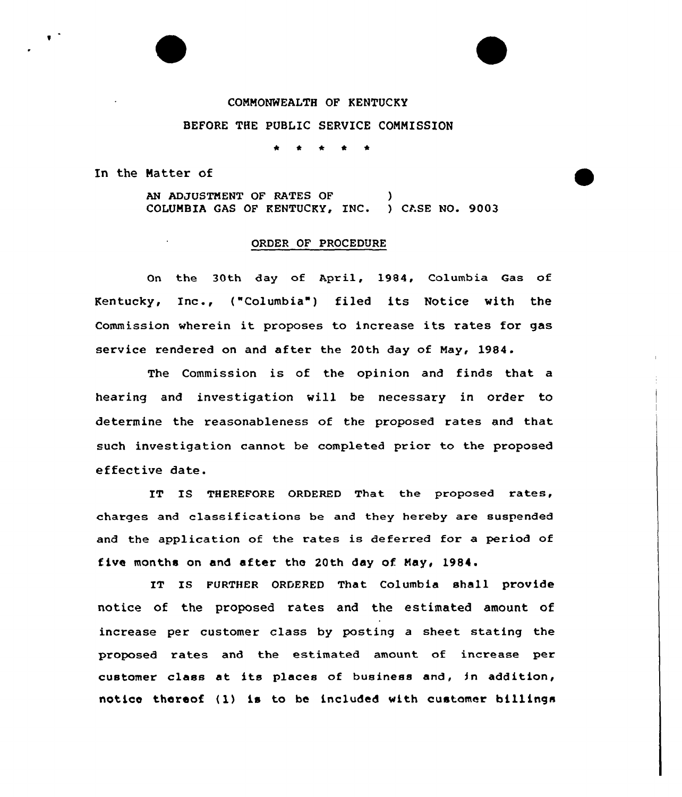## COMMONWEALTH OF KENTUCKY BEFORE THE PUBLIC SERVICE COMMISSION

In the Natter of

AN ADJUSTMENT OF RATES OF COLUMBIA GAS OF KENTUCKY, INC. ) CASE NO. 9003

## ORDER OF PROCEDURE

On the 30th day of April, 1984, Columbia Gas of Kentucky, Inc., ("Columbia" ) filed its Notice with the Commission wherein it proposes to increase its rates for gas service rendered on and after the 20th day of May, 1984.

The Commission is of the opinion and finds that a hearing and investigation will be necessary in order to determine the reasonableness of the proposed rates and that such investigation cannot be completed prior to the proposed effective date.

IT IS THEREFORE ORDERED That the proposed rates, charges and classifications be and they hereby are suspended and the application of the rates is deferred for a period of five months on and after the 20th day of May, 1984.

IT IS FURTHER ORDERED That Columbia shall provide notice of the proposed rates and the estimated amount of increase per customer class by posting a sheet stating the proposed rates and the estimated amount of increase per customer class at its places of business and, in addition, notice thereof (1) is to be included with customer billings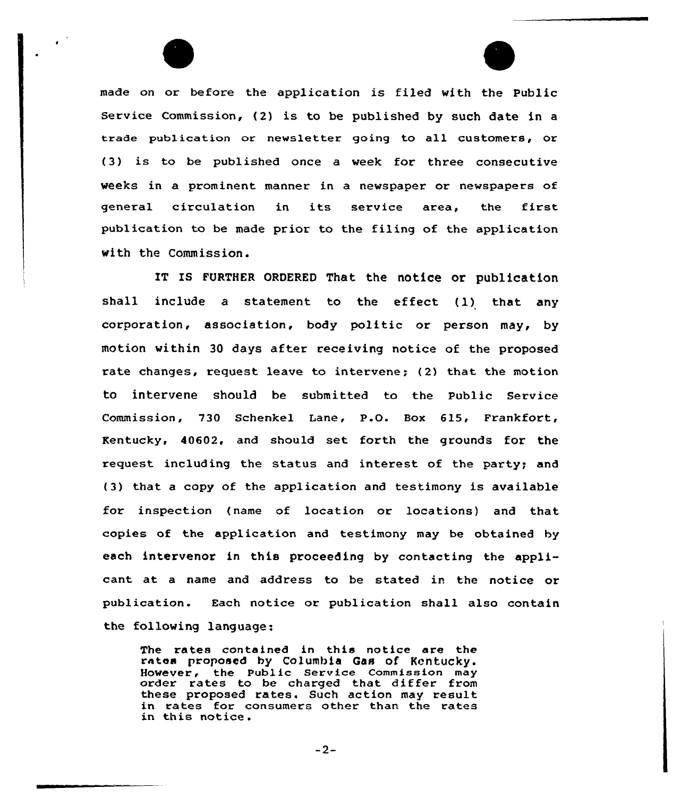made on or before the application is filed with the Public Service Commission, (2) is to be published by such date in <sup>a</sup> trade publication or newsletter going to all customers, or (3) is to be published once a week for three consecutive weeks in a prominent manner in a newspaper or newspapers of general circulation in its service area, the first publication to be made prior to the filing of the application with the Commission.

IT IS FURTHER ORDERED That the notice or publication shall include <sup>a</sup> statement to the effect (l) that any corporation, association, body politic or person may, by motion within 30 days after receiving notice of the proposed rate changes, request leave to intervene; {2) that the motion to intervene should be submitted to the Public Service Commission, 730 Schenkel lane, P.O. Box 615, Frankfort, Kentucky, 40602, and should set forth the grounds for the request including the status and interest of the party; and (3) that. a copy of the application and testimony is available for inspection (name of location or locations) and that copies of the application and testimony may be obtained by each intervenor in this proceeding by contacting the applicant at a name and address to be stated in the notice or publication. Each notice or publication shall also contain the following language:

The rates contained in this notice are the rates proposed by Columbia Gas of Kentucky. However, the Public service Commission may order rates to be charged that differ from these proposed rates. Such action may result in rates for consumers other than the rates in this notice.

 $-2-$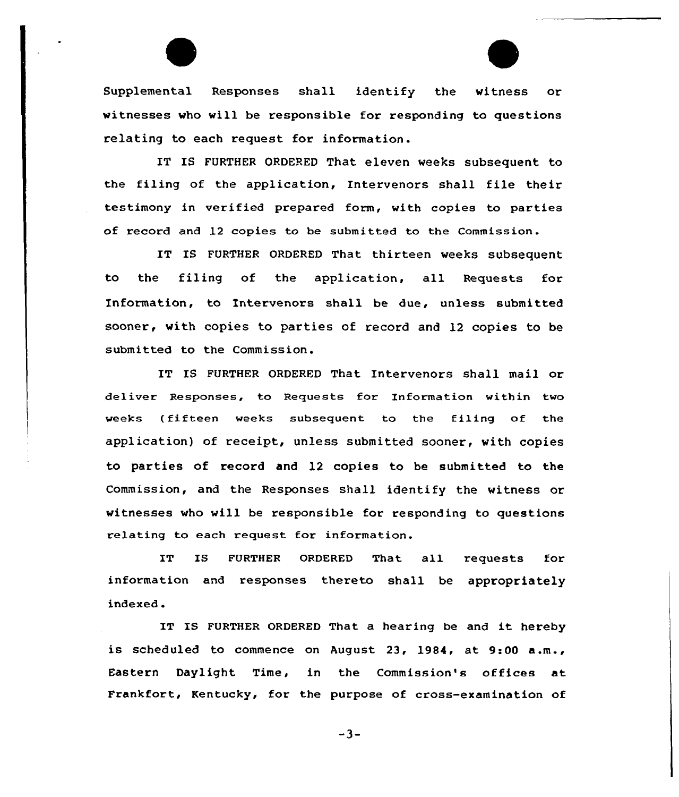Supplemental Responses shall identify the witness or witnesses who will be responsible for responding to questions relating to each request for information.

IT IS FURTHER ORDERED That eleven weeks subsequent to the filing of the application, Intervenors shall file their testimony in verified prepared form, with copies to parties of record and 12 copies to be submitted to the Commission.

IT IS FURTHER ORDERED That thirteen weeks subsequent to the filing of the application, all Requests for Information, to Intervenors shall be due, unless submitted sooner, with copies to parties of record and 12 copies to be submitted to the Commission.

IT IS FURTHER ORDERED That Intervenors shall mail or deliver Responses, to Requests for Information within two weeks (fifteen weeks subsequent to the filing of the application) of receipt, unless submitted sooner, with copies to parties of record and l2 copies to be submitted to the Commission, and the Responses shall identify the witness or witnesses who will be responsible for responding to questions relating to each request for information.

IT IS FURTHER ORDERED That all requests for information and responses thereto shall be appropriately indexed .

IT IS FURTHER ORDERED That <sup>a</sup> hearing be and it hereby is scheduled to commence on August 23, 1984, at 9:00 a.m., Eastern Daylight Time, in the Commission's offices at Frankfort, Kentucky, for the purpose of cross-examination of

-3-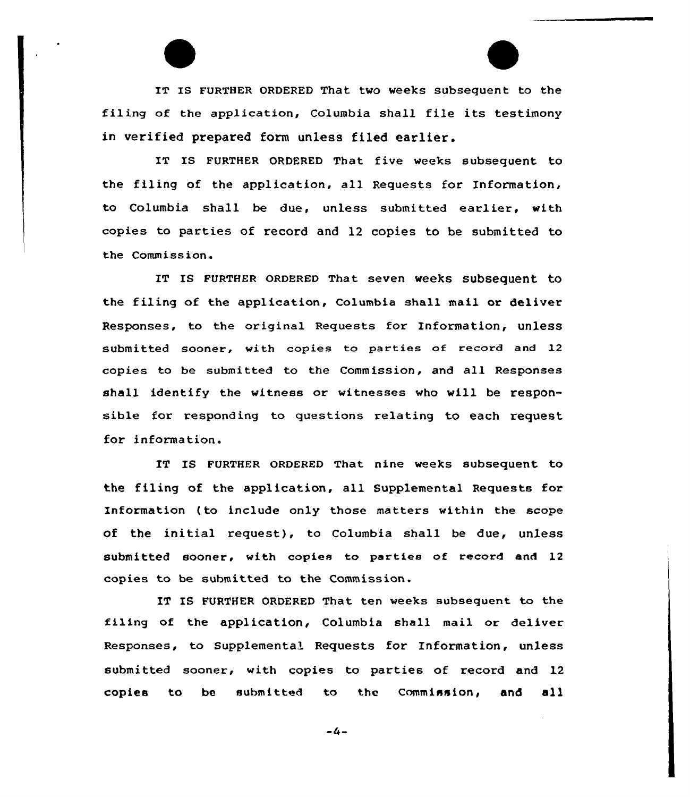IT IS FURTHER ORDERED That two weeks subsequent to the filing of the application, Columbia shall file its testimony in verified prepared form unless filed earlier.

IT IS FURTHER ORDERED That five weeks subsequent to the filing of the application, all Requests for Information, to Columbia shall be due, unless submitted earlier, with copies to parties of record and 12 copies to be submitted to the Commission.

IT Is FURTHER oRDERED That seven weeks subsequent to the filing of the application, Columbia shall mail or deliver Responses, to the original Requests for Information, unless submitted sooner, with copies to parties of record and 12 copies to be submitted to the Commission, and all Responses shall identify the witness or witnesses who will be responsible for responding to questions relating to each request for information.

IT IS FURTHER ORDERED That nine weeks subsequent to the filing of the application, all Supplemental Requests for Information ( to include only those matters within the scope of the initial request), to Columbia shall be due, unless submitted sooner. with copies to parties of record and 12 copies to be submitted to the Commission.

IT IS FURTHER ORDERED That ten weeks subsequent to the filing of the application, Columbia shall mail or deliver Responses, to Supplemental Requests for Information, unless submitted sooner, with copies to parties of record and 12 copies to be submitted to the Commission, and all

 $-4-$